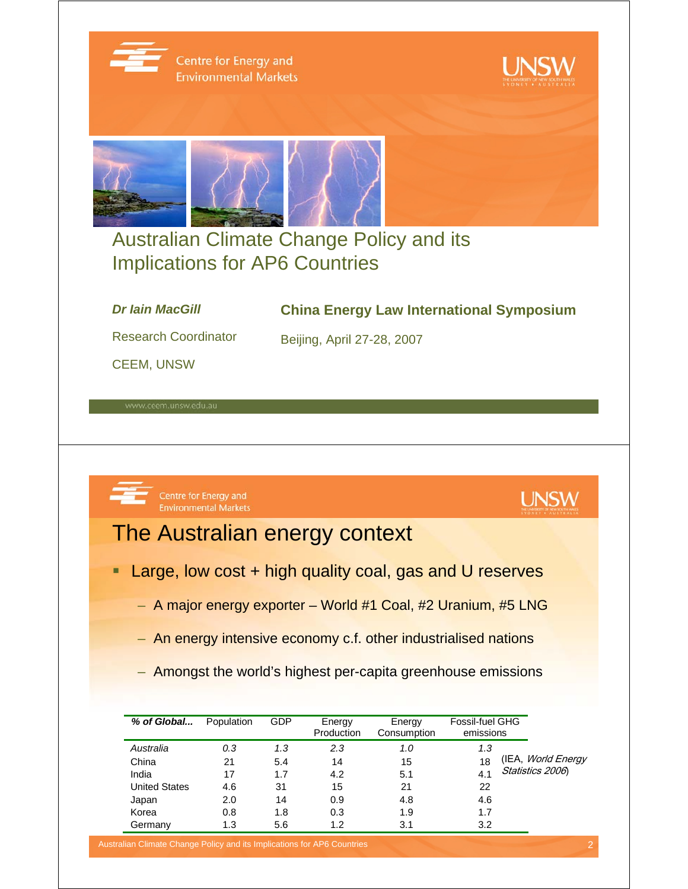

Centre for Energy and **Environmental Markets** 





### Australian Climate Change Policy and its Implications for AP6 Countries

#### *Dr Iain MacGill*

#### **China Energy Law International Symposium**

Research Coordinator

CEEM, UNSW

Centre for Energy and **Environmental Markets** 



### The Australian energy context

- Large, low cost + high quality coal, gas and U reserves
	- A major energy exporter World #1 Coal, #2 Uranium, #5 LNG

Beijing, April 27-28, 2007

- An energy intensive economy c.f. other industrialised nations
- Amongst the world's highest per-capita greenhouse emissions

| % of Global          | Population | <b>GDP</b> | Energy<br>Production | Energy<br>Consumption | Fossil-fuel GHG<br>emissions |                           |
|----------------------|------------|------------|----------------------|-----------------------|------------------------------|---------------------------|
| Australia            | 0.3        | 1.3        | 2.3                  | 1.0                   | 1.3                          |                           |
| China                | 21         | 5.4        | 14                   | 15                    | 18                           | (IEA, <i>World Energy</i> |
| India                | 17         | 1.7        | 4.2                  | 5.1                   | 4.1                          | Statistics 2006           |
| <b>United States</b> | 4.6        | 31         | 15                   | 21                    | 22                           |                           |
| Japan                | 2.0        | 14         | 0.9                  | 4.8                   | 4.6                          |                           |
| Korea                | 0.8        | 1.8        | 0.3                  | 1.9                   | 1.7                          |                           |
| Germany              | 1.3        | 5.6        | 1.2                  | 3.1                   | 3.2                          |                           |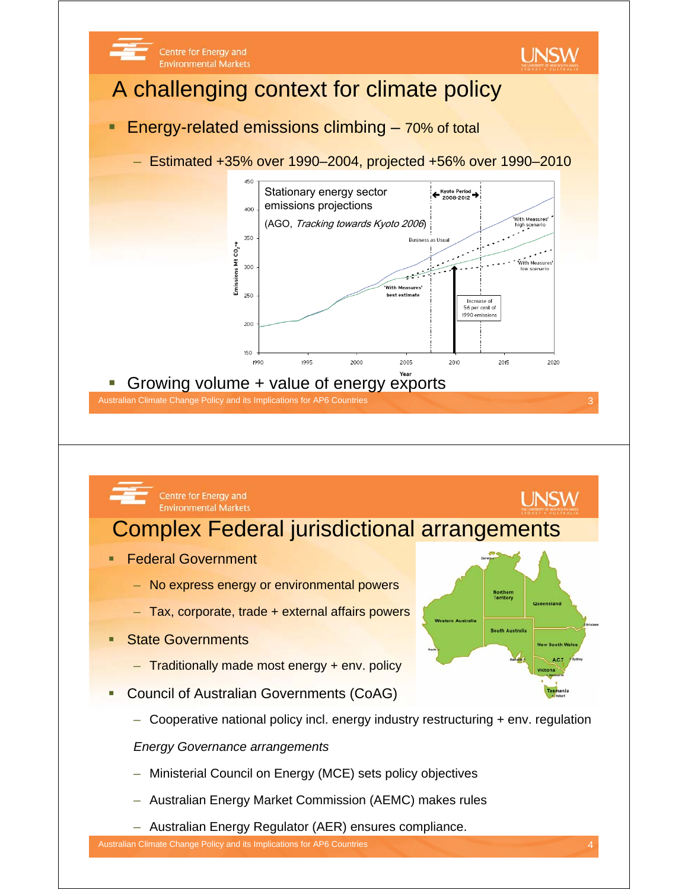

- Traditionally made most energy + env. policy
- Council of Australian Governments (CoAG)
	- Cooperative national policy incl. energy industry restructuring + env. regulation

*Energy Governance arrangements*

- Ministerial Council on Energy (MCE) sets policy objectives
- Australian Energy Market Commission (AEMC) makes rules
- Australian Energy Regulator (AER) ensures compliance.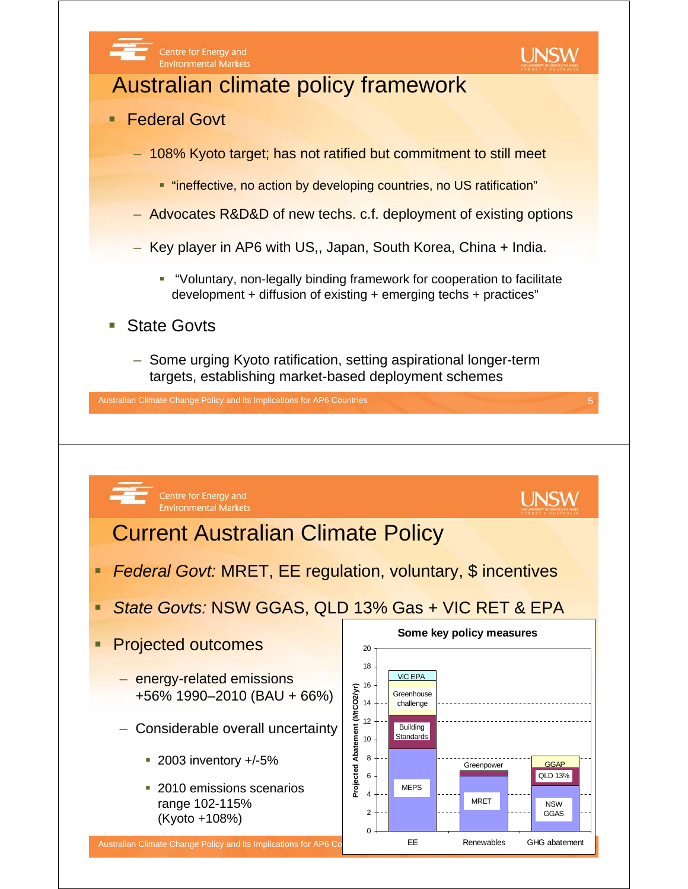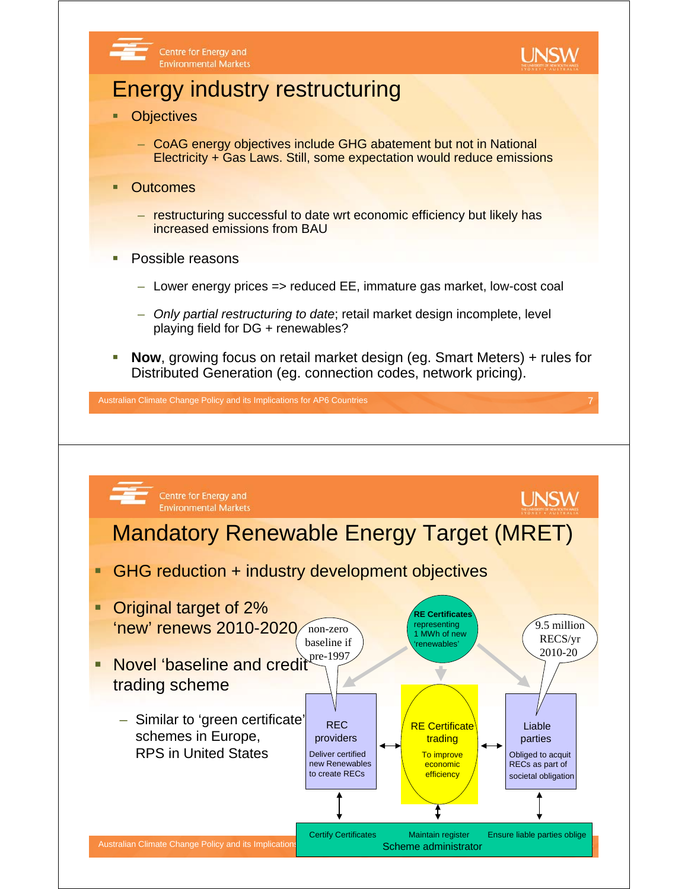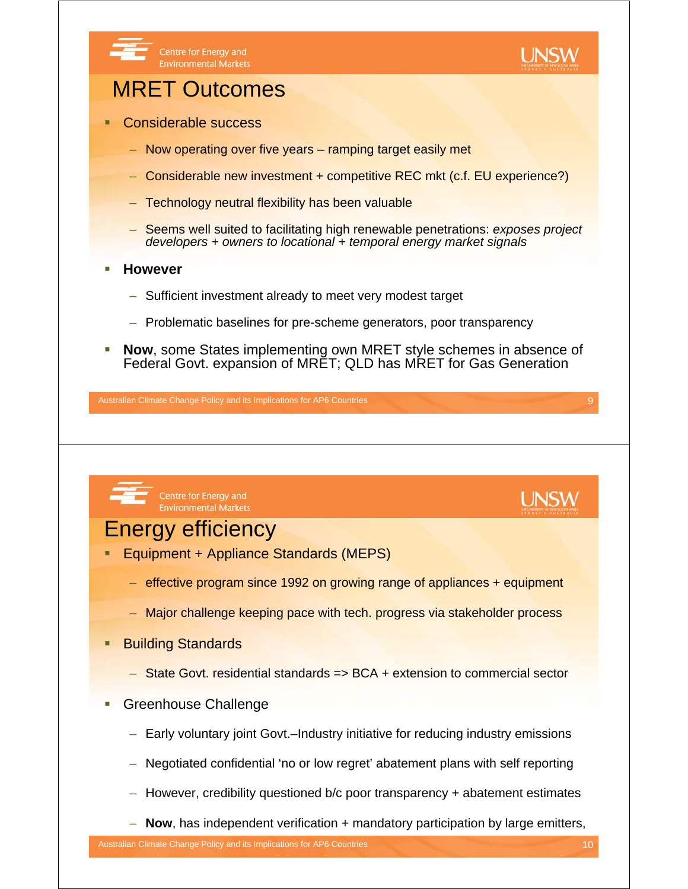

- Equipment + Appliance Standards (MEPS)
	- effective program since 1992 on growing range of appliances + equipment
	- Major challenge keeping pace with tech. progress via stakeholder process
- Building Standards
	- State Govt. residential standards => BCA + extension to commercial sector
- **Greenhouse Challenge** 
	- Early voluntary joint Govt.–Industry initiative for reducing industry emissions
	- Negotiated confidential 'no or low regret' abatement plans with self reporting
	- However, credibility questioned b/c poor transparency + abatement estimates
	- **Now**, has independent verification + mandatory participation by large emitters,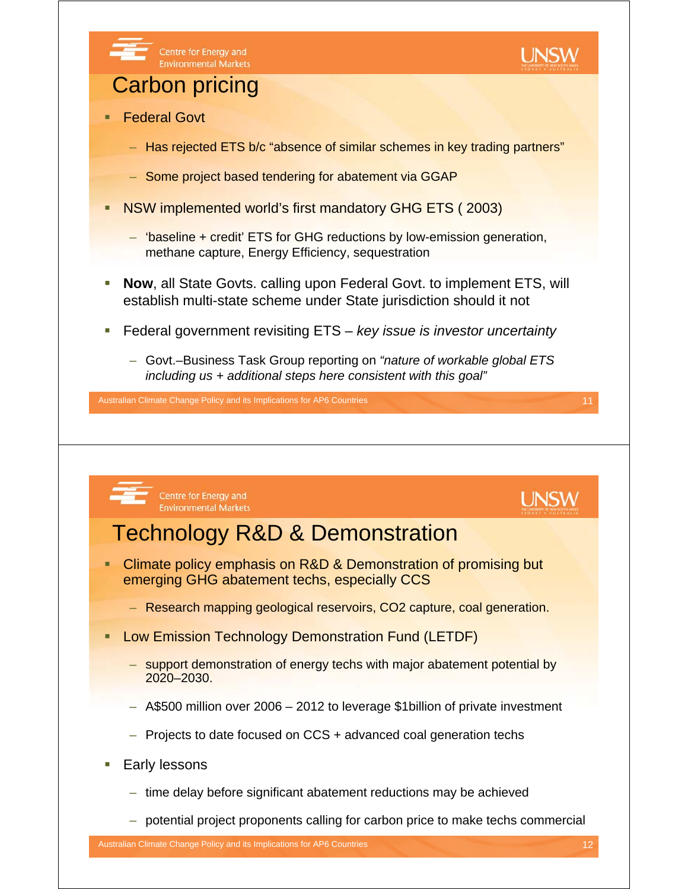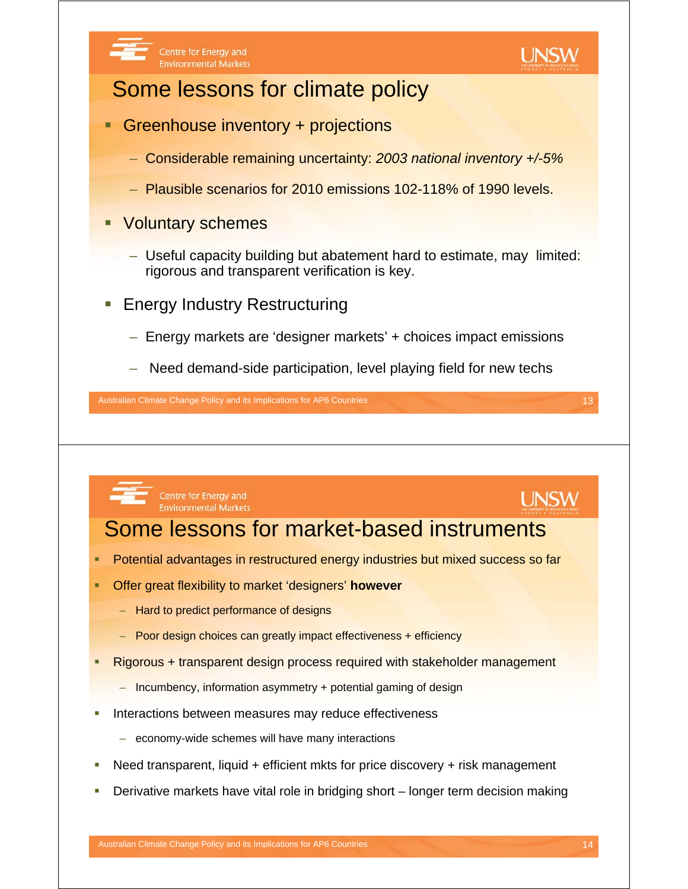



**UNSW** 

## Some lessons for climate policy

- Greenhouse inventory + projections
	- Considerable remaining uncertainty: *2003 national inventory +/-5%*
	- Plausible scenarios for 2010 emissions 102-118% of 1990 levels.
- **Voluntary schemes** 
	- Useful capacity building but abatement hard to estimate, may limited: rigorous and transparent verification is key.
- Energy Industry Restructuring
	- Energy markets are 'designer markets' + choices impact emissions
	- Need demand-side participation, level playing field for new techs

Australian Climate Change Policy and its Implications for AP6 Countries 13 and 13 and 13 and 13 and 13 and 13 and 13 and 13 and 13 and 13 and 13 and 13 and 13 and 13 and 13 and 13 and 13 and 13 and 13 and 13 and 13 and 13



Centre for Energy and **Environmental Markets** 

# Some lessons for market-based instruments

- Potential advantages in restructured energy industries but mixed success so far
- Offer great flexibility to market 'designers' **however**
	- Hard to predict performance of designs
	- Poor design choices can greatly impact effectiveness + efficiency
- Rigorous + transparent design process required with stakeholder management
	- Incumbency, information asymmetry + potential gaming of design
- Interactions between measures may reduce effectiveness
	- economy-wide schemes will have many interactions
- Need transparent, liquid + efficient mkts for price discovery + risk management
- Derivative markets have vital role in bridging short longer term decision making